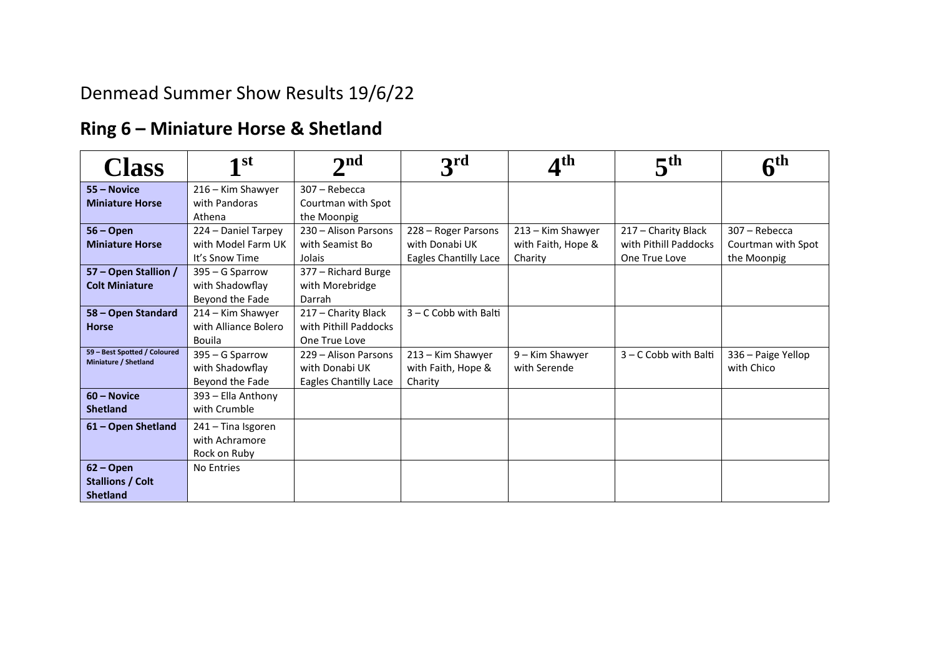# Denmead Summer Show Results 19/6/22

## **Ring 6 – Miniature Horse & Shetland**

| <b>Class</b>                                         | 1 <sup>st</sup>      | $\mathbf{p}$ nd              | 3 <sup>rd</sup>         | <b>Ath</b>         | 5 <sup>th</sup>         | $\mathbf c$ th     |
|------------------------------------------------------|----------------------|------------------------------|-------------------------|--------------------|-------------------------|--------------------|
| 55 - Novice                                          | 216 - Kim Shawyer    | 307 - Rebecca                |                         |                    |                         |                    |
| <b>Miniature Horse</b>                               | with Pandoras        | Courtman with Spot           |                         |                    |                         |                    |
|                                                      | Athena               | the Moonpig                  |                         |                    |                         |                    |
| $56 -$ Open                                          | 224 - Daniel Tarpey  | 230 - Alison Parsons         | 228 - Roger Parsons     | 213 - Kim Shawyer  | 217 - Charity Black     | 307 - Rebecca      |
| <b>Miniature Horse</b>                               | with Model Farm UK   | with Seamist Bo              | with Donabi UK          | with Faith, Hope & | with Pithill Paddocks   | Courtman with Spot |
|                                                      | It's Snow Time       | Jolais                       | Eagles Chantilly Lace   | Charity            | One True Love           | the Moonpig        |
| 57 - Open Stallion /                                 | 395 - G Sparrow      | 377 - Richard Burge          |                         |                    |                         |                    |
| <b>Colt Miniature</b>                                | with Shadowflay      | with Morebridge              |                         |                    |                         |                    |
|                                                      | Beyond the Fade      | Darrah                       |                         |                    |                         |                    |
| 58 - Open Standard                                   | 214 - Kim Shawyer    | 217 - Charity Black          | $3 - C$ Cobb with Balti |                    |                         |                    |
| <b>Horse</b>                                         | with Alliance Bolero | with Pithill Paddocks        |                         |                    |                         |                    |
|                                                      | Bouila               | One True Love                |                         |                    |                         |                    |
| 59 - Best Spotted / Coloured<br>Miniature / Shetland | 395 - G Sparrow      | 229 - Alison Parsons         | 213 - Kim Shawyer       | 9 - Kim Shawyer    | $3 - C$ Cobb with Balti | 336 - Paige Yellop |
|                                                      | with Shadowflay      | with Donabi UK               | with Faith, Hope &      | with Serende       |                         | with Chico         |
|                                                      | Beyond the Fade      | <b>Eagles Chantilly Lace</b> | Charity                 |                    |                         |                    |
| 60 - Novice                                          | 393 - Ella Anthony   |                              |                         |                    |                         |                    |
| <b>Shetland</b>                                      | with Crumble         |                              |                         |                    |                         |                    |
| 61 – Open Shetland                                   | 241 - Tina Isgoren   |                              |                         |                    |                         |                    |
|                                                      | with Achramore       |                              |                         |                    |                         |                    |
|                                                      | Rock on Ruby         |                              |                         |                    |                         |                    |
| $62 - Open$                                          | No Entries           |                              |                         |                    |                         |                    |
| <b>Stallions / Colt</b>                              |                      |                              |                         |                    |                         |                    |
| <b>Shetland</b>                                      |                      |                              |                         |                    |                         |                    |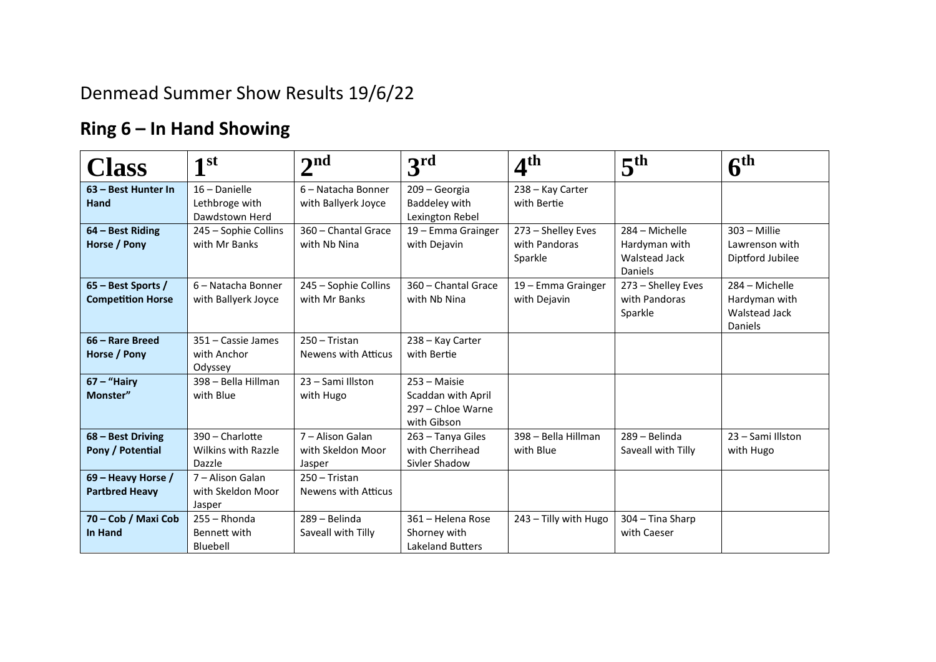## Denmead Summer Show Results 19/6/22

## **Ring 6 – In Hand Showing**

| <b>Class</b>                                   | 1 <sup>st</sup>                                         | $\mathbf{\Omega}$                               | 3 <sup>rd</sup>                                                                 | 4 <sup>th</sup>                                | 5 <sup>th</sup>                                             | $6^{\rm th}$                                                              |
|------------------------------------------------|---------------------------------------------------------|-------------------------------------------------|---------------------------------------------------------------------------------|------------------------------------------------|-------------------------------------------------------------|---------------------------------------------------------------------------|
| 63 - Best Hunter In<br>Hand                    | 16 - Danielle<br>Lethbroge with<br>Dawdstown Herd       | 6 - Natacha Bonner<br>with Ballyerk Joyce       | 209 - Georgia<br>Baddeley with<br>Lexington Rebel                               | 238 - Kay Carter<br>with Bertie                |                                                             |                                                                           |
| 64 - Best Riding<br>Horse / Pony               | 245 - Sophie Collins<br>with Mr Banks                   | 360 - Chantal Grace<br>with Nb Nina             | 19 - Emma Grainger<br>with Dejavin                                              | 273 - Shelley Eves<br>with Pandoras<br>Sparkle | 284 - Michelle<br>Hardyman with<br>Walstead Jack<br>Daniels | $303 -$ Millie<br>Lawrenson with<br>Diptford Jubilee                      |
| 65 - Best Sports /<br><b>Competition Horse</b> | 6 - Natacha Bonner<br>with Ballyerk Joyce               | 245 - Sophie Collins<br>with Mr Banks           | 360 - Chantal Grace<br>with Nb Nina                                             | 19 - Emma Grainger<br>with Dejavin             | 273 - Shelley Eves<br>with Pandoras<br>Sparkle              | 284 - Michelle<br>Hardyman with<br><b>Walstead Jack</b><br><b>Daniels</b> |
| 66 – Rare Breed<br>Horse / Pony                | 351 - Cassie James<br>with Anchor<br>Odyssey            | 250 - Tristan<br>Newens with Atticus            | 238 - Kay Carter<br>with Bertie                                                 |                                                |                                                             |                                                                           |
| $67 -$ "Hairy<br>Monster"                      | 398 - Bella Hillman<br>with Blue                        | 23 - Sami Illston<br>with Hugo                  | $253 - \text{Maisie}$<br>Scaddan with April<br>297 - Chloe Warne<br>with Gibson |                                                |                                                             |                                                                           |
| 68 - Best Driving<br>Pony / Potential          | 390 - Charlotte<br><b>Wilkins with Razzle</b><br>Dazzle | 7 - Alison Galan<br>with Skeldon Moor<br>Jasper | 263 - Tanya Giles<br>with Cherrihead<br>Sivler Shadow                           | 398 - Bella Hillman<br>with Blue               | 289 - Belinda<br>Saveall with Tilly                         | 23 - Sami Illston<br>with Hugo                                            |
| 69 – Heavy Horse /<br><b>Partbred Heavy</b>    | 7 - Alison Galan<br>with Skeldon Moor<br>Jasper         | 250 - Tristan<br><b>Newens with Atticus</b>     |                                                                                 |                                                |                                                             |                                                                           |
| 70 - Cob / Maxi Cob<br>In Hand                 | $255 - Rhonda$<br>Bennett with<br>Bluebell              | 289 - Belinda<br>Saveall with Tilly             | 361 - Helena Rose<br>Shorney with<br><b>Lakeland Butters</b>                    | 243 - Tilly with Hugo                          | 304 - Tina Sharp<br>with Caeser                             |                                                                           |